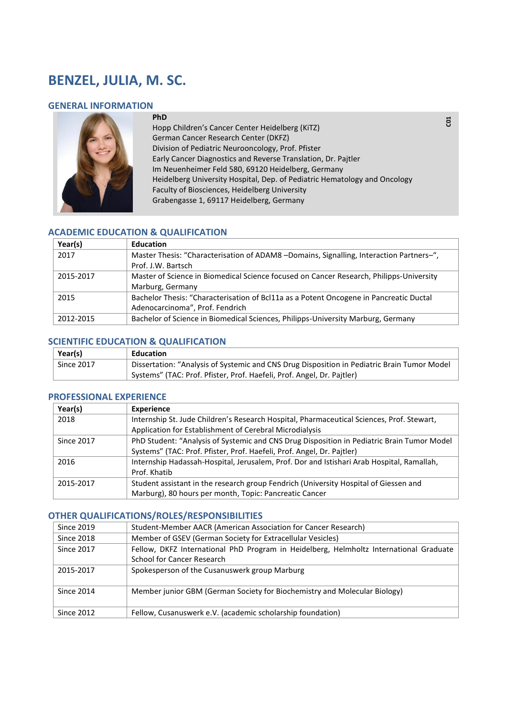# **BENZEL, JULIA, M. SC.**

## **GENERAL INFORMATION**



**PhD**  Hopp Children's Cancer Center Heidelberg (KiTZ) German Cancer Research Center (DKFZ) Division of Pediatric Neurooncology, Prof. Pfister Early Cancer Diagnostics and Reverse Translation, Dr. Pajtler Im Neuenheimer Feld 580, 69120 Heidelberg, Germany Heidelberg University Hospital, Dep. of Pediatric Hematology and Oncology Faculty of Biosciences, Heidelberg University Grabengasse 1, 69117 Heidelberg, Germany

# **ACADEMIC EDUCATION & QUALIFICATION**

| Year(s)   | <b>Education</b>                                                                        |
|-----------|-----------------------------------------------------------------------------------------|
| 2017      | Master Thesis: "Characterisation of ADAM8 -Domains, Signalling, Interaction Partners-", |
|           | Prof. J.W. Bartsch                                                                      |
| 2015-2017 | Master of Science in Biomedical Science focused on Cancer Research, Philipps-University |
|           | Marburg, Germany                                                                        |
| 2015      | Bachelor Thesis: "Characterisation of Bcl11a as a Potent Oncogene in Pancreatic Ductal  |
|           | Adenocarcinoma", Prof. Fendrich                                                         |
| 2012-2015 | Bachelor of Science in Biomedical Sciences, Philipps-University Marburg, Germany        |

#### **SCIENTIFIC EDUCATION & QUALIFICATION**

| Year(s)           | Education                                                                                   |
|-------------------|---------------------------------------------------------------------------------------------|
| <b>Since 2017</b> | Dissertation: "Analysis of Systemic and CNS Drug Disposition in Pediatric Brain Tumor Model |
|                   | Systems" (TAC: Prof. Pfister, Prof. Haefeli, Prof. Angel, Dr. Pajtler)                      |

## **PROFESSIONAL EXPERIENCE**

| Year(s)           | <b>Experience</b>                                                                          |
|-------------------|--------------------------------------------------------------------------------------------|
| 2018              | Internship St. Jude Children's Research Hospital, Pharmaceutical Sciences, Prof. Stewart,  |
|                   | Application for Establishment of Cerebral Microdialysis                                    |
| <b>Since 2017</b> | PhD Student: "Analysis of Systemic and CNS Drug Disposition in Pediatric Brain Tumor Model |
|                   | Systems" (TAC: Prof. Pfister, Prof. Haefeli, Prof. Angel, Dr. Pajtler)                     |
| 2016              | Internship Hadassah-Hospital, Jerusalem, Prof. Dor and Istishari Arab Hospital, Ramallah,  |
|                   | Prof. Khatib                                                                               |
| 2015-2017         | Student assistant in the research group Fendrich (University Hospital of Giessen and       |
|                   | Marburg), 80 hours per month, Topic: Pancreatic Cancer                                     |

#### **OTHER QUALIFICATIONS/ROLES/RESPONSIBILITIES**

| Since 2019        | Student-Member AACR (American Association for Cancer Research)                         |
|-------------------|----------------------------------------------------------------------------------------|
| <b>Since 2018</b> | Member of GSEV (German Society for Extracellular Vesicles)                             |
| <b>Since 2017</b> | Fellow, DKFZ International PhD Program in Heidelberg, Helmholtz International Graduate |
|                   | <b>School for Cancer Research</b>                                                      |
| 2015-2017         | Spokesperson of the Cusanuswerk group Marburg                                          |
| <b>Since 2014</b> | Member junior GBM (German Society for Biochemistry and Molecular Biology)              |
| <b>Since 2012</b> | Fellow, Cusanuswerk e.V. (academic scholarship foundation)                             |

 **C01**